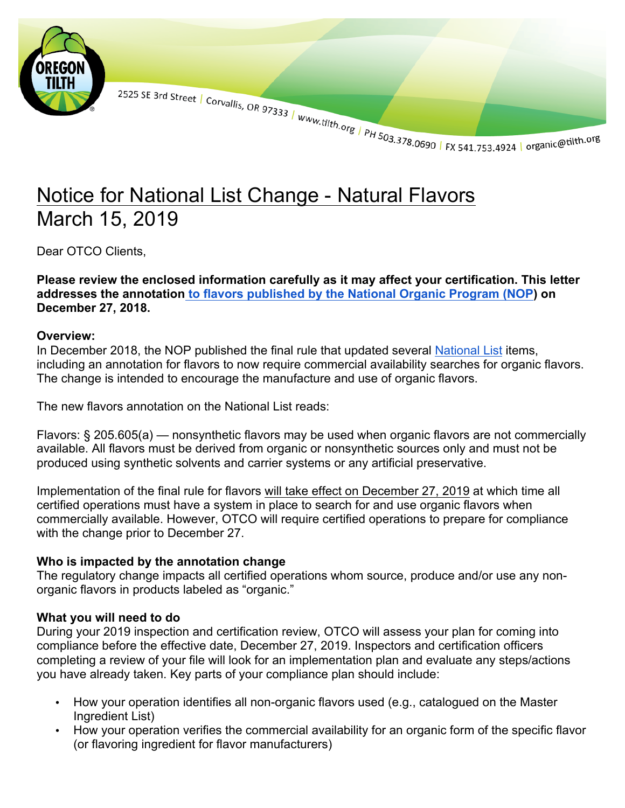

2525 SE 3rd Street | Corvallis, OR 97333 | www.tilth.org | PH 503.378.0690 | FX 541.753.4924 | organic@tilth.org

## Notice for National List Change - Natural Flavors March 15, 2019

Dear OTCO Clients.

**Please review the enclosed information carefully as it may affect your certification. This letter addresses the annotation to flavors published by the National Organic Program (NOP) on December 27, 2018.**

## **Overview:**

In December 2018, the NOP published the final rule that updated several National List items, including an annotation for flavors to now require commercial availability searches for organic flavors. The change is intended to encourage the manufacture and use of organic flavors.

The new flavors annotation on the National List reads:

Flavors: § 205.605(a) — nonsynthetic flavors may be used when organic flavors are not commercially available. All flavors must be derived from organic or nonsynthetic sources only and must not be produced using synthetic solvents and carrier systems or any artificial preservative.

Implementation of the final rule for flavors will take effect on December 27, 2019 at which time all certified operations must have a system in place to search for and use organic flavors when commercially available. However, OTCO will require certified operations to prepare for compliance with the change prior to December 27.

## **Who is impacted by the annotation change**

The regulatory change impacts all certified operations whom source, produce and/or use any nonorganic flavors in products labeled as "organic."

## **What you will need to do**

During your 2019 inspection and certification review, OTCO will assess your plan for coming into compliance before the effective date, December 27, 2019. Inspectors and certification officers completing a review of your file will look for an implementation plan and evaluate any steps/actions you have already taken. Key parts of your compliance plan should include:

- How your operation identifies all non-organic flavors used (e.g., catalogued on the Master Ingredient List)
- How your operation verifies the commercial availability for an organic form of the specific flavor (or flavoring ingredient for flavor manufacturers)